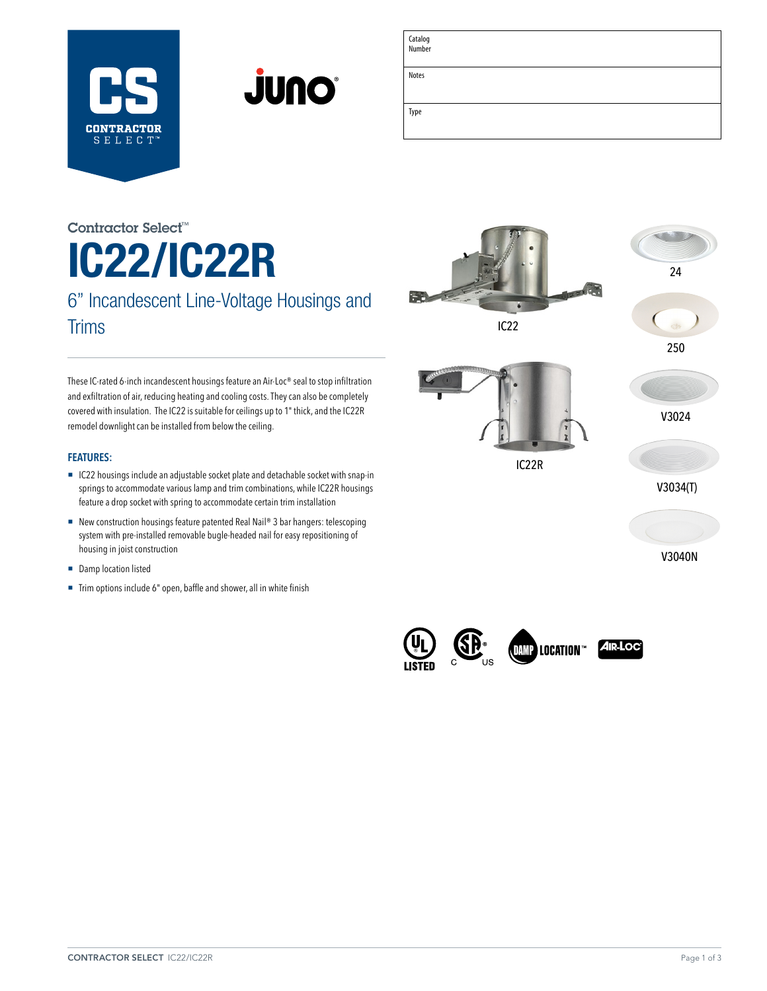



| Catalog<br>Number |  |
|-------------------|--|
| Notes             |  |
| Type              |  |

# IC22/IC22R 6" Incandescent Line-Voltage Housings and Contractor Select™

**Trims** 

These IC-rated 6-inch incandescent housings feature an Air-Loc® seal to stop infiltration and exfiltration of air, reducing heating and cooling costs. They can also be completely covered with insulation. The IC22 is suitable for ceilings up to 1" thick, and the IC22R remodel downlight can be installed from below the ceiling.

### **FEATURES:**

- IC22 housings include an adjustable socket plate and detachable socket with snap-in springs to accommodate various lamp and trim combinations, while IC22R housings feature a drop socket with spring to accommodate certain trim installation
- New construction housings feature patented Real Nail® 3 bar hangers: telescoping system with pre-installed removable bugle-headed nail for easy repositioning of housing in joist construction
- Damp location listed
- Trim options include 6" open, baffle and shower, all in white finish



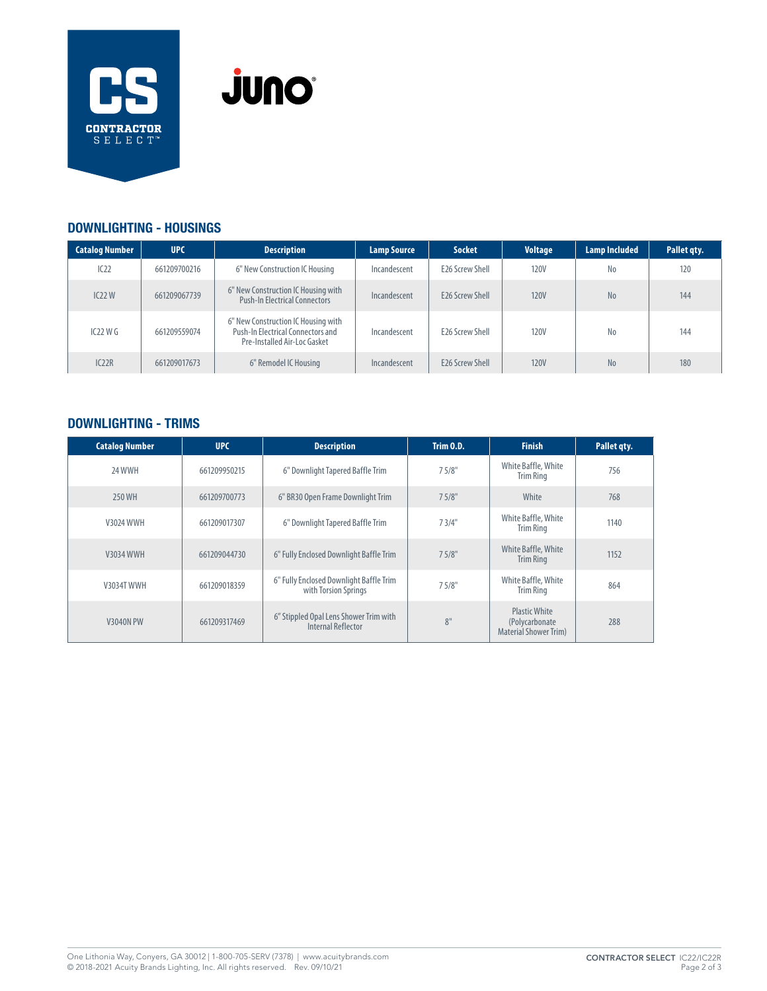



## DOWNLIGHTING - HOUSINGS

| <b>Catalog Number</b> | <b>UPC</b>   | <b>Description</b>                                                                                       | <b>Lamp Source</b> | <b>Socket</b>          | <b>Voltage</b> | <b>Lamp Included</b> | Pallet qty. |
|-----------------------|--------------|----------------------------------------------------------------------------------------------------------|--------------------|------------------------|----------------|----------------------|-------------|
| IC22                  | 661209700216 | 6" New Construction IC Housing                                                                           | Incandescent       | <b>E26 Screw Shell</b> | <b>120V</b>    | No                   | 120         |
| IC22W                 | 661209067739 | 6" New Construction IC Housing with<br><b>Push-In Electrical Connectors</b>                              | Incandescent       | <b>E26 Screw Shell</b> | <b>120V</b>    | N <sub>o</sub>       | 144         |
| IC22WG                | 661209559074 | 6" New Construction IC Housing with<br>Push-In Electrical Connectors and<br>Pre-Installed Air-Loc Gasket | Incandescent       | <b>E26 Screw Shell</b> | <b>120V</b>    | N <sub>0</sub>       | 144         |
| IC22R                 | 661209017673 | 6" Remodel IC Housing                                                                                    | Incandescent       | <b>E26 Screw Shell</b> | <b>120V</b>    | N <sub>o</sub>       | 180         |

# DOWNLIGHTING - TRIMS

| <b>Catalog Number</b> | <b>UPC</b>   | <b>Description</b>                                              | Trim 0.D. | <b>Finish</b>                                                          | Pallet qty. |
|-----------------------|--------------|-----------------------------------------------------------------|-----------|------------------------------------------------------------------------|-------------|
| 24 WWH                | 661209950215 | 6" Downlight Tapered Baffle Trim                                | 75/8"     | White Baffle, White<br><b>Trim Ring</b>                                | 756         |
| 250 WH                | 661209700773 | 6" BR30 Open Frame Downlight Trim                               | 75/8"     | White                                                                  | 768         |
| <b>V3024 WWH</b>      | 661209017307 | 6" Downlight Tapered Baffle Trim                                | 73/4"     | White Baffle, White<br><b>Trim Ring</b>                                | 1140        |
| <b>V3034 WWH</b>      | 661209044730 | 6" Fully Enclosed Downlight Baffle Trim                         | 7.5/8"    | White Baffle, White<br><b>Trim Ring</b>                                | 1152        |
| <b>V3034T WWH</b>     | 661209018359 | 6" Fully Enclosed Downlight Baffle Trim<br>with Torsion Springs | 75/8"     | White Baffle, White<br><b>Trim Ring</b>                                | 864         |
| <b>V3040N PW</b>      | 661209317469 | 6" Stippled Opal Lens Shower Trim with<br>Internal Reflector    | 8"        | <b>Plastic White</b><br>(Polycarbonate<br><b>Material Shower Trim)</b> | 288         |